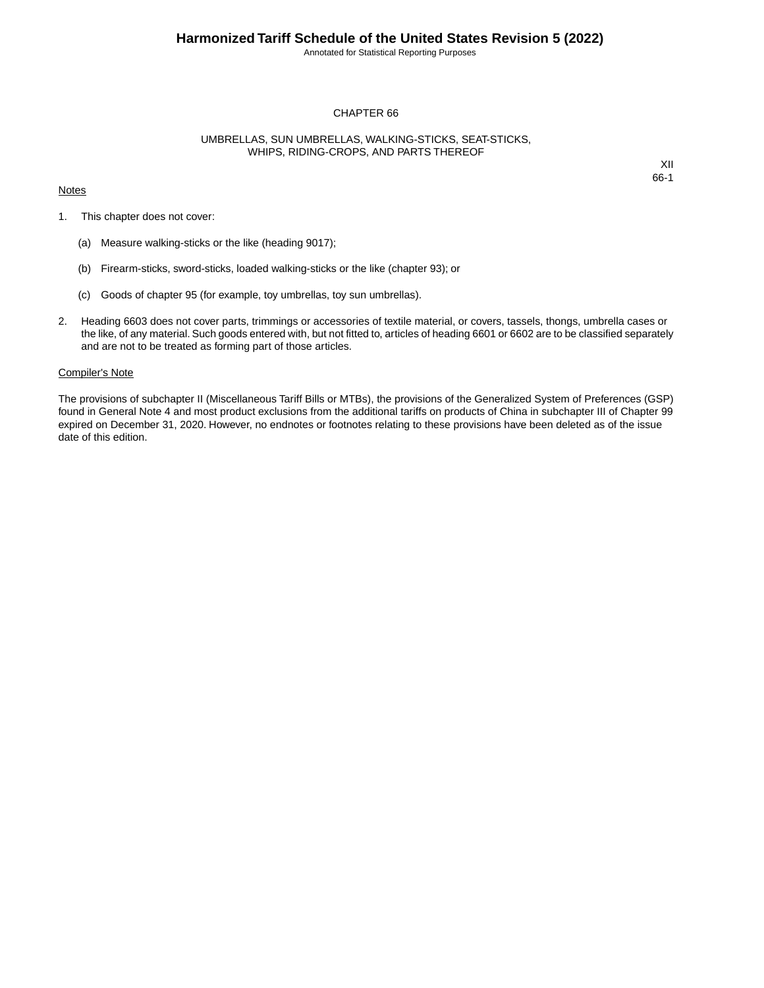Annotated for Statistical Reporting Purposes

## CHAPTER 66

## UMBRELLAS, SUN UMBRELLAS, WALKING-STICKS, SEAT-STICKS, WHIPS, RIDING-CROPS, AND PARTS THEREOF

#### **Notes**

XII 66-1

- 1. This chapter does not cover:
	- (a) Measure walking-sticks or the like (heading 9017);
	- (b) Firearm-sticks, sword-sticks, loaded walking-sticks or the like (chapter 93); or
	- (c) Goods of chapter 95 (for example, toy umbrellas, toy sun umbrellas).
- 2. Heading 6603 does not cover parts, trimmings or accessories of textile material, or covers, tassels, thongs, umbrella cases or the like, of any material. Such goods entered with, but not fitted to, articles of heading 6601 or 6602 are to be classified separately and are not to be treated as forming part of those articles.

## Compiler's Note

The provisions of subchapter II (Miscellaneous Tariff Bills or MTBs), the provisions of the Generalized System of Preferences (GSP) found in General Note 4 and most product exclusions from the additional tariffs on products of China in subchapter III of Chapter 99 expired on December 31, 2020. However, no endnotes or footnotes relating to these provisions have been deleted as of the issue date of this edition.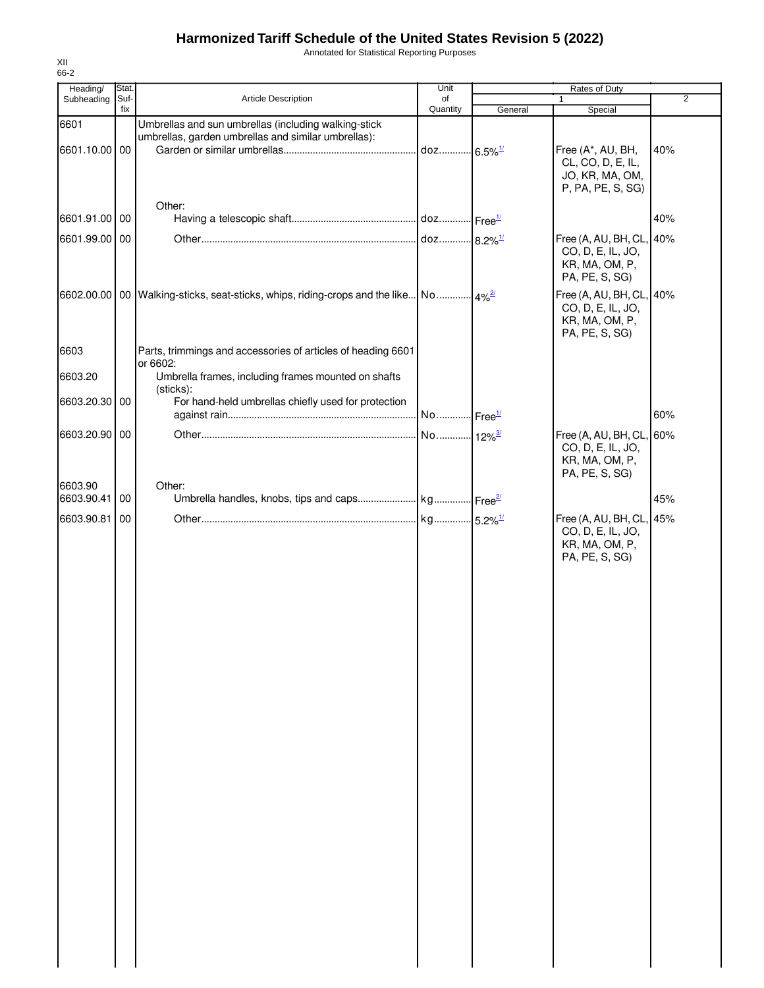# **Harmonized Tariff Schedule of the United States Revision 5 (2022)**

Annotated for Statistical Reporting Purposes

| Heading/      | <b>Stat</b> |                                                                                                | Unit                     | Rates of Duty |                                        |                |
|---------------|-------------|------------------------------------------------------------------------------------------------|--------------------------|---------------|----------------------------------------|----------------|
| Subheading    | Suf-        | Article Description                                                                            | of                       |               | 1                                      | $\overline{2}$ |
|               | fix         |                                                                                                | Quantity                 | General       | Special                                |                |
| 6601          |             | Umbrellas and sun umbrellas (including walking-stick                                           |                          |               |                                        |                |
| 6601.10.00 00 |             | umbrellas, garden umbrellas and similar umbrellas):                                            |                          |               |                                        |                |
|               |             |                                                                                                | . doz 6.5% <sup>1/</sup> |               | Free (A*, AU, BH,<br>CL, CO, D, E, IL, | 40%            |
|               |             |                                                                                                |                          |               | JO, KR, MA, OM,                        |                |
|               |             |                                                                                                |                          |               | P, PA, PE, S, SG)                      |                |
|               |             | Other:                                                                                         |                          |               |                                        |                |
| 6601.91.00    | 00          |                                                                                                |                          |               |                                        | 40%            |
| 6601.99.00 00 |             |                                                                                                |                          |               | Free (A, AU, BH, CL,                   | 40%            |
|               |             |                                                                                                |                          |               | CO, D, E, IL, JO,                      |                |
|               |             |                                                                                                |                          |               | KR, MA, OM, P,                         |                |
|               |             |                                                                                                |                          |               | PA, PE, S, SG)                         |                |
|               |             | 6602.00.00   00   Walking-sticks, seat-sticks, whips, riding-crops and the like   No   $4\%^2$ |                          |               | Free (A, AU, BH, CL, 40%               |                |
|               |             |                                                                                                |                          |               | CO, D, E, IL, JO,                      |                |
|               |             |                                                                                                |                          |               | KR, MA, OM, P,                         |                |
|               |             |                                                                                                |                          |               | PA, PE, S, SG)                         |                |
| 6603          |             | Parts, trimmings and accessories of articles of heading 6601                                   |                          |               |                                        |                |
|               |             | or 6602:                                                                                       |                          |               |                                        |                |
| 6603.20       |             | Umbrella frames, including frames mounted on shafts                                            |                          |               |                                        |                |
| 6603.20.30 00 |             | (sticks):<br>For hand-held umbrellas chiefly used for protection                               |                          |               |                                        |                |
|               |             |                                                                                                | No Free <sup>1/</sup>    |               |                                        | 60%            |
|               |             |                                                                                                |                          |               |                                        |                |
| 6603.20.90 00 |             |                                                                                                | No 12% <sup>3/</sup>     |               | Free (A, AU, BH, CL, 60%               |                |
|               |             |                                                                                                |                          |               | CO, D, E, IL, JO,<br>KR, MA, OM, P,    |                |
|               |             |                                                                                                |                          |               | PA, PE, S, SG)                         |                |
| 6603.90       |             | Other:                                                                                         |                          |               |                                        |                |
| 6603.90.41    | 00          |                                                                                                |                          |               |                                        | 45%            |
| 6603.90.81    | 00          |                                                                                                |                          |               | Free (A, AU, BH, CL, 45%               |                |
|               |             |                                                                                                |                          |               | CO, D, E, IL, JO,                      |                |
|               |             |                                                                                                |                          |               | KR, MA, OM, P,                         |                |
|               |             |                                                                                                |                          |               | PA, PE, S, SG)                         |                |
|               |             |                                                                                                |                          |               |                                        |                |
|               |             |                                                                                                |                          |               |                                        |                |
|               |             |                                                                                                |                          |               |                                        |                |
|               |             |                                                                                                |                          |               |                                        |                |
|               |             |                                                                                                |                          |               |                                        |                |
|               |             |                                                                                                |                          |               |                                        |                |
|               |             |                                                                                                |                          |               |                                        |                |
|               |             |                                                                                                |                          |               |                                        |                |
|               |             |                                                                                                |                          |               |                                        |                |
|               |             |                                                                                                |                          |               |                                        |                |
|               |             |                                                                                                |                          |               |                                        |                |
|               |             |                                                                                                |                          |               |                                        |                |
|               |             |                                                                                                |                          |               |                                        |                |
|               |             |                                                                                                |                          |               |                                        |                |
|               |             |                                                                                                |                          |               |                                        |                |
|               |             |                                                                                                |                          |               |                                        |                |
|               |             |                                                                                                |                          |               |                                        |                |
|               |             |                                                                                                |                          |               |                                        |                |
|               |             |                                                                                                |                          |               |                                        |                |
|               |             |                                                                                                |                          |               |                                        |                |
|               |             |                                                                                                |                          |               |                                        |                |
|               |             |                                                                                                |                          |               |                                        |                |
|               |             |                                                                                                |                          |               |                                        |                |
|               |             |                                                                                                |                          |               |                                        |                |
|               |             |                                                                                                |                          |               |                                        |                |
|               |             |                                                                                                |                          |               |                                        |                |
|               |             |                                                                                                |                          |               |                                        |                |

XII 66-2